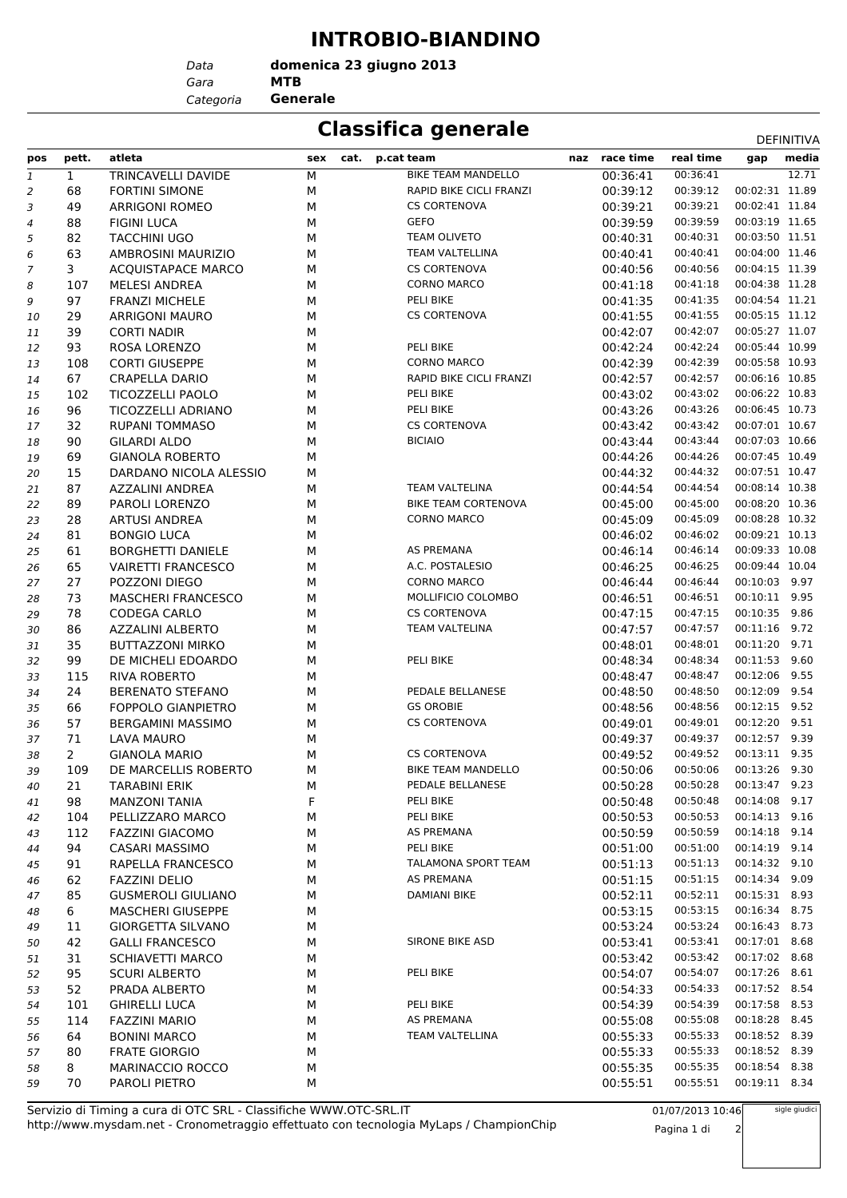## **INTROBIO-BIANDINO**

**domenica 23 giugno 2013**

*Gara* **MTB** *Data Categoria* **Generale**

## **Classifica generale** Definitival Definitival

|                |                |                           |             |                            |               |           |                | DEFINITIVA |
|----------------|----------------|---------------------------|-------------|----------------------------|---------------|-----------|----------------|------------|
| pos            | pett.          | atleta                    | sex<br>cat. | p.cat team                 | naz race time | real time | gap            | media      |
| $\mathbf{1}$   | $\mathbf{1}$   | TRINCAVELLI DAVIDE        | М           | <b>BIKE TEAM MANDELLO</b>  | 00:36:41      | 00:36:41  |                | 12.71      |
| $\overline{2}$ | 68             | <b>FORTINI SIMONE</b>     | М           | RAPID BIKE CICLI FRANZI    | 00:39:12      | 00:39:12  | 00:02:31 11.89 |            |
| 3              | 49             | <b>ARRIGONI ROMEO</b>     | М           | <b>CS CORTENOVA</b>        | 00:39:21      | 00:39:21  | 00:02:41 11.84 |            |
| $\overline{4}$ | 88             | <b>FIGINI LUCA</b>        | М           | <b>GEFO</b>                | 00:39:59      | 00:39:59  | 00:03:19 11.65 |            |
| 5              | 82             | <b>TACCHINI UGO</b>       | М           | <b>TEAM OLIVETO</b>        | 00:40:31      | 00:40:31  | 00:03:50 11.51 |            |
| 6              | 63             | AMBROSINI MAURIZIO        | М           | TEAM VALTELLINA            | 00:40:41      | 00:40:41  | 00:04:00 11.46 |            |
| $\overline{7}$ | $\mathbf{3}$   | <b>ACQUISTAPACE MARCO</b> | М           | <b>CS CORTENOVA</b>        | 00:40:56      | 00:40:56  | 00:04:15 11.39 |            |
| 8              | 107            | <b>MELESI ANDREA</b>      | М           | <b>CORNO MARCO</b>         | 00:41:18      | 00:41:18  | 00:04:38 11.28 |            |
| 9              | 97             | <b>FRANZI MICHELE</b>     | М           | PELI BIKE                  | 00:41:35      | 00:41:35  | 00:04:54 11.21 |            |
| 10             | 29             | <b>ARRIGONI MAURO</b>     | М           | <b>CS CORTENOVA</b>        | 00:41:55      | 00:41:55  | 00:05:15 11.12 |            |
| 11             | 39             | <b>CORTI NADIR</b>        | М           |                            | 00:42:07      | 00:42:07  | 00:05:27 11.07 |            |
| 12             | 93             | ROSA LORENZO              | М           | PELI BIKE                  | 00:42:24      | 00:42:24  | 00:05:44 10.99 |            |
| 13             | 108            | <b>CORTI GIUSEPPE</b>     | М           | <b>CORNO MARCO</b>         | 00:42:39      | 00:42:39  | 00:05:58 10.93 |            |
| 14             | 67             | <b>CRAPELLA DARIO</b>     | М           | RAPID BIKE CICLI FRANZI    | 00:42:57      | 00:42:57  | 00:06:16 10.85 |            |
| 15             | 102            | <b>TICOZZELLI PAOLO</b>   | М           | PELI BIKE                  | 00:43:02      | 00:43:02  | 00:06:22 10.83 |            |
| 16             | 96             | TICOZZELLI ADRIANO        | М           | PELI BIKE                  | 00:43:26      | 00:43:26  | 00:06:45 10.73 |            |
| 17             | 32             | <b>RUPANI TOMMASO</b>     | М           | <b>CS CORTENOVA</b>        | 00:43:42      | 00:43:42  | 00:07:01 10.67 |            |
| 18             | 90             | <b>GILARDI ALDO</b>       | М           | <b>BICIAIO</b>             | 00:43:44      | 00:43:44  | 00:07:03 10.66 |            |
| 19             | 69             | <b>GIANOLA ROBERTO</b>    | М           |                            | 00:44:26      | 00:44:26  | 00:07:45 10.49 |            |
| 20             | 15             | DARDANO NICOLA ALESSIO    | М           |                            | 00:44:32      | 00:44:32  | 00:07:51 10.47 |            |
| 21             | 87             | <b>AZZALINI ANDREA</b>    | М           | <b>TEAM VALTELINA</b>      | 00:44:54      | 00:44:54  | 00:08:14 10.38 |            |
| 22             | 89             | PAROLI LORENZO            | М           | <b>BIKE TEAM CORTENOVA</b> | 00:45:00      | 00:45:00  | 00:08:20 10.36 |            |
| 23             | 28             | <b>ARTUSI ANDREA</b>      | М           | <b>CORNO MARCO</b>         | 00:45:09      | 00:45:09  | 00:08:28 10.32 |            |
| 24             | 81             | <b>BONGIO LUCA</b>        | М           |                            | 00:46:02      | 00:46:02  | 00:09:21 10.13 |            |
| 25             | 61             | <b>BORGHETTI DANIELE</b>  | М           | AS PREMANA                 | 00:46:14      | 00:46:14  | 00:09:33 10.08 |            |
| 26             | 65             | <b>VAIRETTI FRANCESCO</b> | М           | A.C. POSTALESIO            | 00:46:25      | 00:46:25  | 00:09:44 10.04 |            |
| 27             | 27             | POZZONI DIEGO             | М           | <b>CORNO MARCO</b>         | 00:46:44      | 00:46:44  | 00:10:03       | 9.97       |
| 28             | 73             | <b>MASCHERI FRANCESCO</b> | М           | MOLLIFICIO COLOMBO         | 00:46:51      | 00:46:51  | 00:10:11 9.95  |            |
| 29             | 78             | <b>CODEGA CARLO</b>       | М           | <b>CS CORTENOVA</b>        | 00:47:15      | 00:47:15  | 00:10:35       | 9.86       |
| 30             | 86             | <b>AZZALINI ALBERTO</b>   | М           | <b>TEAM VALTELINA</b>      | 00:47:57      | 00:47:57  | 00:11:16       | 9.72       |
| 31             | 35             | <b>BUTTAZZONI MIRKO</b>   | М           |                            | 00:48:01      | 00:48:01  | 00:11:20       | 9.71       |
| 32             | 99             | DE MICHELI EDOARDO        | М           | PELI BIKE                  | 00:48:34      | 00:48:34  | 00:11:53       | 9.60       |
| 33             | 115            | <b>RIVA ROBERTO</b>       | М           |                            | 00:48:47      | 00:48:47  | 00:12:06       | 9.55       |
| 34             | 24             | <b>BERENATO STEFANO</b>   | М           | PEDALE BELLANESE           | 00:48:50      | 00:48:50  | 00:12:09 9.54  |            |
| 35             | 66             | <b>FOPPOLO GIANPIETRO</b> | М           | <b>GS OROBIE</b>           | 00:48:56      | 00:48:56  | 00:12:15       | 9.52       |
| 36             | 57             | <b>BERGAMINI MASSIMO</b>  | М           | <b>CS CORTENOVA</b>        | 00:49:01      | 00:49:01  | 00:12:20       | 9.51       |
| 37             | 71             | LAVA MAURO                | М           |                            | 00:49:37      | 00:49:37  | 00:12:57       | 9.39       |
| 38             | $\overline{2}$ | <b>GIANOLA MARIO</b>      | М           | <b>CS CORTENOVA</b>        | 00:49:52      | 00:49:52  | 00:13:11       | 9.35       |
| 39             | 109            | DE MARCELLIS ROBERTO      | М           | <b>BIKE TEAM MANDELLO</b>  | 00:50:06      | 00:50:06  | 00:13:26 9.30  |            |
| 40             | 21             | <b>TARABINI ERIK</b>      | М           | PEDALE BELLANESE           | 00:50:28      | 00:50:28  | 00:13:47 9.23  |            |
| 41             | 98             | <b>MANZONI TANIA</b>      | F           | PELI BIKE                  | 00:50:48      | 00:50:48  | 00:14:08 9.17  |            |
| 42             | 104            | PELLIZZARO MARCO          | М           | PELI BIKE                  | 00:50:53      | 00:50:53  | 00:14:13 9.16  |            |
| 43             | 112            | <b>FAZZINI GIACOMO</b>    | М           | AS PREMANA                 | 00:50:59      | 00:50:59  | 00:14:18 9.14  |            |
| 44             | 94             | <b>CASARI MASSIMO</b>     | М           | PELI BIKE                  | 00:51:00      | 00:51:00  | 00:14:19 9.14  |            |
| 45             | 91             | RAPELLA FRANCESCO         | М           | TALAMONA SPORT TEAM        | 00:51:13      | 00:51:13  | 00:14:32       | 9.10       |
| 46             | 62             | <b>FAZZINI DELIO</b>      | М           | AS PREMANA                 | 00:51:15      | 00:51:15  | 00:14:34 9.09  |            |
| 47             | 85             | <b>GUSMEROLI GIULIANO</b> | М           | DAMIANI BIKE               | 00:52:11      | 00:52:11  | 00:15:31 8.93  |            |
| 48             | 6              | <b>MASCHERI GIUSEPPE</b>  | М           |                            | 00:53:15      | 00:53:15  | 00:16:34       | 8.75       |
| 49             | 11             | <b>GIORGETTA SILVANO</b>  | М           |                            | 00:53:24      | 00:53:24  | 00:16:43 8.73  |            |
| 50             | 42             | <b>GALLI FRANCESCO</b>    | М           | <b>SIRONE BIKE ASD</b>     | 00:53:41      | 00:53:41  | 00:17:01 8.68  |            |
| 51             | 31             | <b>SCHIAVETTI MARCO</b>   | М           |                            | 00:53:42      | 00:53:42  | 00:17:02 8.68  |            |
| 52             | 95             | <b>SCURI ALBERTO</b>      | М           | PELI BIKE                  | 00:54:07      | 00:54:07  | 00:17:26 8.61  |            |
| 53             | 52             | PRADA ALBERTO             | М           |                            | 00:54:33      | 00:54:33  | 00:17:52 8.54  |            |
| 54             | 101            | <b>GHIRELLI LUCA</b>      | М           | PELI BIKE                  | 00:54:39      | 00:54:39  | 00:17:58 8.53  |            |
| 55             | 114            | <b>FAZZINI MARIO</b>      | М           | AS PREMANA                 | 00:55:08      | 00:55:08  | 00:18:28 8.45  |            |
| 56             | 64             | <b>BONINI MARCO</b>       | М           | TEAM VALTELLINA            | 00:55:33      | 00:55:33  | 00:18:52 8.39  |            |
| 57             | 80             | <b>FRATE GIORGIO</b>      | М           |                            | 00:55:33      | 00:55:33  | 00:18:52       | 8.39       |
| 58             | 8              | MARINACCIO ROCCO          | М           |                            | 00:55:35      | 00:55:35  | 00:18:54 8.38  |            |
| 59             | 70             | PAROLI PIETRO             | М           |                            | 00:55:51      | 00:55:51  | 00:19:11 8.34  |            |

01/07/2013 10:46 Pagina 1 di 2

sigle giudici